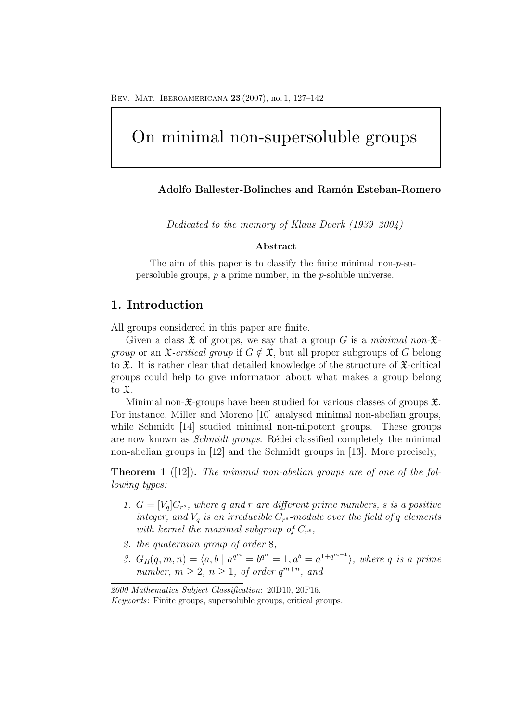# On minimal non-supersoluble groups

### **Adolfo Ballester-Bolinches and Ram´on Esteban-Romero**

Dedicated to the memory of Klaus Doerk (1939–2004)

#### **Abstract**

The aim of this paper is to classify the finite minimal non-*p*-supersoluble groups, *p* a prime number, in the *p*-soluble universe.

### **1. Introduction**

All groups considered in this paper are finite.

Given a class  $\mathfrak X$  of groups, we say that a group G is a minimal non- $\mathfrak X$ *group* or an  $\mathfrak{X}$ -*critical group* if  $G \notin \mathfrak{X}$ , but all proper subgroups of G belong to  $\mathfrak{X}$ . It is rather clear that detailed knowledge of the structure of  $\mathfrak{X}$ -critical groups could help to give information about what makes a group belong to X.

Minimal non- $\mathfrak{X}$ -groups have been studied for various classes of groups  $\mathfrak{X}$ . For instance, Miller and Moreno [10] analysed minimal non-abelian groups, while Schmidt [14] studied minimal non-nilpotent groups. These groups are now known as *Schmidt groups*. Rédei classified completely the minimal non-abelian groups in [12] and the Schmidt groups in [13]. More precisely,

**Theorem 1** ([12]). The minimal non-abelian groups are of one of the following types:

- 1.  $G = [V_a]C_{r^s}$ , where q and r are different prime numbers, s is a positive integer, and  $V_q$  is an irreducible  $C_r$ <sup>s</sup>-module over the field of q elements with kernel the maximal subgroup of  $C_{r^s}$ ,
- 2. the quaternion group of order 8,
- 3.  $G_{II}(q, m, n) = \langle a, b \mid a^{q^m} = b^{q^n} = 1, a^b = a^{1+q^{m-1}} \rangle$ , where q is a prime number,  $m > 2$ ,  $n > 1$ , of order  $q^{m+n}$ , and

*2000 Mathematics Subject Classification*: 20D10, 20F16. *Keywords*: Finite groups, supersoluble groups, critical groups.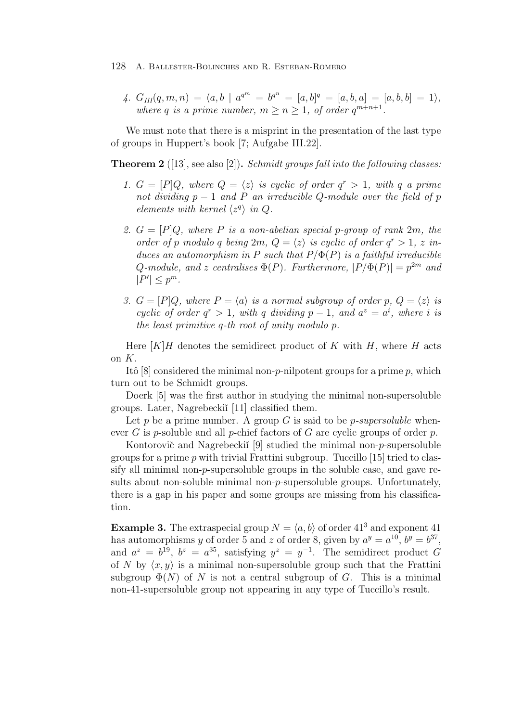4.  $G_{III}(q,m,n) = \langle a, b \mid a^{q^m} = b^{q^n} = [a, b]^q = [a, b, a] = [a, b, b] = 1 \rangle,$ where q is a prime number,  $m \ge n \ge 1$ , of order  $q^{m+n+1}$ .

We must note that there is a misprint in the presentation of the last type of groups in Huppert's book [7; Aufgabe III.22].

**Theorem 2** ([13], see also [2]). *Schmidt groups fall into the following classes:* 

- 1.  $G = [P]Q$ , where  $Q = \langle z \rangle$  is cyclic of order  $q^r > 1$ , with q a prime not dividing  $p-1$  and P an irreducible Q-module over the field of p elements with kernel  $\langle z^q \rangle$  in Q.
- 2.  $G = [P]Q$ , where P is a non-abelian special p-group of rank 2m, the order of p modulo q being  $2m$ ,  $Q = \langle z \rangle$  is cyclic of order  $q^r > 1$ , z induces an automorphism in P such that  $P/\Phi(P)$  is a faithful irreducible Q-module, and z centralises  $\Phi(P)$ . Furthermore,  $|P/\Phi(P)| = p^{2m}$  and  $|P'| \leq p^m$ .
- 3.  $G = [P]Q$ , where  $P = \langle a \rangle$  is a normal subgroup of order  $p, Q = \langle z \rangle$  is cyclic of order  $q^r > 1$ , with q dividing  $p - 1$ , and  $a^z = a^i$ , where i is the least primitive q-th root of unity modulo p.

Here  $[K]$  H denotes the semidirect product of K with H, where H acts on  $K$ .

Itô  $[8]$  considered the minimal non-p-nilpotent groups for a prime p, which turn out to be Schmidt groups.

Doerk [5] was the first author in studying the minimal non-supersoluble groups. Later, Nagrebeckiı̆<sup>[11]</sup> classified them.

Let p be a prime number. A group G is said to be p-supersoluble whenever G is p-soluble and all p-chief factors of G are cyclic groups of order p.

Kontorovič and Nagrebeckiı̆ $[9]$  studied the minimal non-p-supersoluble groups for a prime  $p$  with trivial Frattini subgroup. Tuccillo [15] tried to classify all minimal non-p-supersoluble groups in the soluble case, and gave results about non-soluble minimal non-p-supersoluble groups. Unfortunately, there is a gap in his paper and some groups are missing from his classification.

**Example 3.** The extraspecial group  $N = \langle a, b \rangle$  of order  $41^3$  and exponent 41 has automorphisms y of order 5 and z of order 8, given by  $a^y = a^{10}$ ,  $b^y = b^{37}$ , and  $a^z = b^{19}$ ,  $b^z = a^{35}$ , satisfying  $y^z = y^{-1}$ . The semidirect product G of N by  $\langle x, y \rangle$  is a minimal non-supersoluble group such that the Frattini subgroup  $\Phi(N)$  of N is not a central subgroup of G. This is a minimal non-41-supersoluble group not appearing in any type of Tuccillo's result.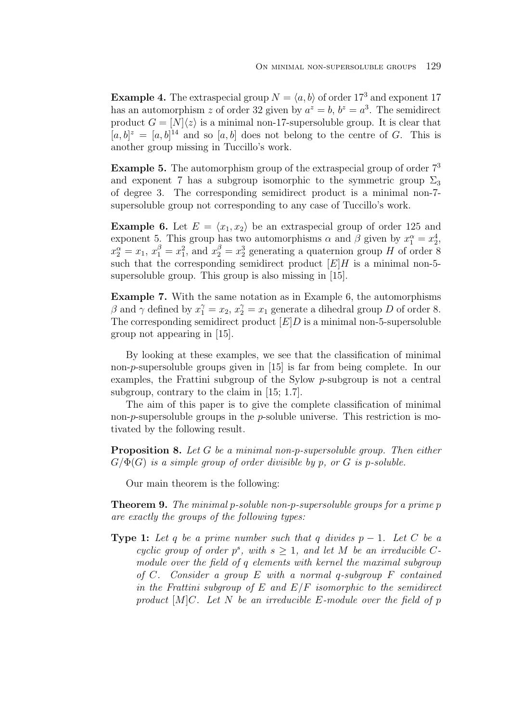**Example 4.** The extraspecial group  $N = \langle a, b \rangle$  of order 17<sup>3</sup> and exponent 17 has an automorphism z of order 32 given by  $a^z = b$ ,  $b^z = a^3$ . The semidirect product  $G = [N] \langle z \rangle$  is a minimal non-17-supersoluble group. It is clear that  $[a, b]^z = [a, b]^{14}$  and so  $[a, b]$  does not belong to the centre of G. This is another group missing in Tuccillo's work.

**Example 5.** The automorphism group of the extraspecial group of order  $7<sup>3</sup>$ and exponent 7 has a subgroup isomorphic to the symmetric group  $\Sigma_3$ of degree 3. The corresponding semidirect product is a minimal non-7 supersoluble group not corresponding to any case of Tuccillo's work.

**Example 6.** Let  $E = \langle x_1, x_2 \rangle$  be an extraspecial group of order 125 and exponent 5. This group has two automorphisms  $\alpha$  and  $\beta$  given by  $x_1^{\alpha} = x_2^4$ ,  $x_2^{\alpha} = x_1, x_1^{\beta} = x_1^2$ , and  $x_2^{\beta} = x_2^3$  generating a quaternion group H of order 8 such that the corresponding semidirect product  $[E]H$  is a minimal non-5supersoluble group. This group is also missing in [15].

**Example 7.** With the same notation as in Example 6, the automorphisms  $\beta$  and  $\gamma$  defined by  $x_1^{\gamma} = x_2, x_2^{\gamma} = x_1$  generate a dihedral group D of order 8. The corresponding semidirect product  $[E]$  is a minimal non-5-supersoluble group not appearing in [15].

By looking at these examples, we see that the classification of minimal non-p-supersoluble groups given in [15] is far from being complete. In our examples, the Frattini subgroup of the Sylow p-subgroup is not a central subgroup, contrary to the claim in [15; 1.7].

The aim of this paper is to give the complete classification of minimal non- $p$ -supersoluble groups in the  $p$ -soluble universe. This restriction is motivated by the following result.

**Proposition 8.** Let G be a minimal non-p-supersoluble group. Then either  $G/\Phi(G)$  is a simple group of order divisible by p, or G is p-soluble.

Our main theorem is the following:

**Theorem 9.** The minimal p-soluble non-p-supersoluble groups for a prime p are exactly the groups of the following types:

**Type 1:** Let q be a prime number such that q divides  $p-1$ . Let C be a cyclic group of order  $p^s$ , with  $s \geq 1$ , and let M be an irreducible Cmodule over the field of q elements with kernel the maximal subgroup of C. Consider a group  $E$  with a normal q-subgroup  $F$  contained in the Frattini subgroup of  $E$  and  $E/F$  isomorphic to the semidirect product  $[M]C$ . Let N be an irreducible E-module over the field of p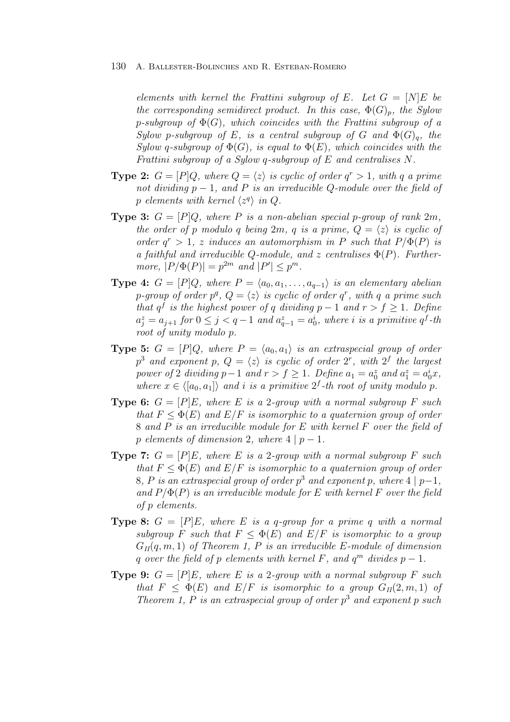elements with kernel the Frattini subgroup of E. Let  $G = [N]E$  be the corresponding semidirect product. In this case,  $\Phi(G)_p$ , the Sylow p-subgroup of  $\Phi(G)$ , which coincides with the Frattini subgroup of a Sylow p-subgroup of E, is a central subgroup of G and  $\Phi(G)_{q}$ , the Sylow q-subgroup of  $\Phi(G)$ , is equal to  $\Phi(E)$ , which coincides with the Frattini subgroup of a Sylow q-subgroup of E and centralises N.

- **Type 2:**  $G = [P]Q$ , where  $Q = \langle z \rangle$  is cyclic of order  $q^r > 1$ , with q a prime not dividing  $p-1$ , and P is an irreducible Q-module over the field of p elements with kernel  $\langle z^q \rangle$  in Q.
- **Type 3:**  $G = [P]Q$ , where P is a non-abelian special p-group of rank  $2m$ , the order of p modulo q being  $2m$ , q is a prime,  $Q = \langle z \rangle$  is cyclic of order  $q^r > 1$ , z induces an automorphism in P such that  $P/\Phi(P)$  is a faithful and irreducible Q-module, and z centralises  $\Phi(P)$ . Furthermore,  $|P/\Phi(P)| = p^{2m}$  and  $|P'| \leq p^m$ .
- **Type 4:**  $G = [P]Q$ , where  $P = \langle a_0, a_1, \ldots, a_{q-1} \rangle$  is an elementary abelian p-group of order  $p^q$ ,  $Q = \langle z \rangle$  is cyclic of order  $q^r$ , with q a prime such that  $q^f$  is the highest power of q dividing  $p-1$  and  $r>f \geq 1$ . Define  $a_j^z = a_{j+1}$  for  $0 \leq j < q-1$  and  $a_{q-1}^z = a_0^i$ , where i is a primitive  $q^f$ -th root of unity modulo p.
- **Type 5:**  $G = [P]Q$ , where  $P = \langle a_0, a_1 \rangle$  is an extraspecial group of order  $p^3$  and exponent  $p, Q = \langle z \rangle$  is cyclic of order  $2^r$ , with  $2^f$  the largest power of 2 dividing  $p-1$  and  $r > f \ge 1$ . Define  $a_1 = a_0^z$  and  $a_1^z = a_0^ix$ , where  $x \in \langle [a_0, a_1] \rangle$  and i is a primitive  $2^f$ -th root of unity modulo p.
- **Type 6:**  $G = [P]E$ , where E is a 2-group with a normal subgroup F such that  $F \leq \Phi(E)$  and  $E/F$  is isomorphic to a quaternion group of order 8 and P is an irreducible module for E with kernel F over the field of p elements of dimension 2, where  $4 | p - 1$ .
- **Type 7:**  $G = [P]E$ , where E is a 2-group with a normal subgroup F such that  $F \leq \Phi(E)$  and  $E/F$  is isomorphic to a quaternion group of order 8, P is an extraspecial group of order  $p^3$  and exponent p, where 4 | p-1, and  $P/\Phi(P)$  is an irreducible module for E with kernel F over the field of p elements.
- **Type 8:**  $G = [P]E$ , where E is a q-group for a prime q with a normal subgroup F such that  $F \leq \Phi(E)$  and  $E/F$  is isomorphic to a group  $G_{II}(q, m, 1)$  of Theorem 1, P is an irreducible E-module of dimension q over the field of p elements with kernel F, and  $q^m$  divides  $p-1$ .
- **Type 9:**  $G = [P]E$ , where E is a 2-group with a normal subgroup F such that  $F < \Phi(E)$  and  $E/F$  is isomorphic to a group  $G_{II}(2, m, 1)$  of Theorem 1, P is an extraspecial group of order  $p^3$  and exponent p such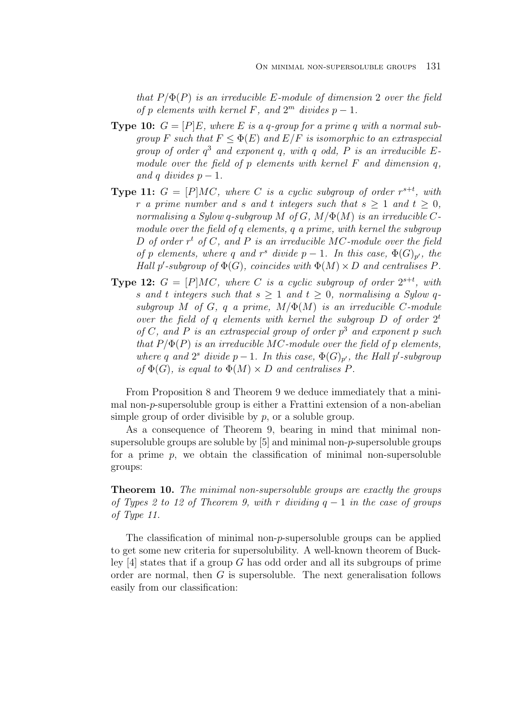that  $P/\Phi(P)$  is an irreducible E-module of dimension 2 over the field of p elements with kernel F, and  $2^m$  divides  $p-1$ .

- **Type 10:**  $G = [P]E$ , where E is a q-group for a prime q with a normal subgroup F such that  $F \leq \Phi(E)$  and  $E/F$  is isomorphic to an extraspecial group of order  $q^3$  and exponent q, with q odd, P is an irreducible Emodule over the field of  $p$  elements with kernel  $F$  and dimension  $q$ , and q divides  $p-1$ .
- **Type 11:**  $G = [P]MC$ , where C is a cyclic subgroup of order  $r^{s+t}$ , with r a prime number and s and t integers such that  $s > 1$  and  $t > 0$ , normalising a Sylow q-subgroup M of G,  $M/\Phi(M)$  is an irreducible Cmodule over the field of q elements, q a prime, with kernel the subgroup D of order  $r^t$  of C, and P is an irreducible MC-module over the field of p elements, where q and r<sup>s</sup> divide  $p-1$ . In this case,  $\Phi(G)_{p'}$ , the Hall  $p'$ -subgroup of  $\Phi(G)$ , coincides with  $\Phi(M) \times D$  and centralises P.
- **Type 12:**  $G = [P]MC$ , where C is a cyclic subgroup of order  $2^{s+t}$ , with s and t integers such that  $s \geq 1$  and  $t \geq 0$ , normalising a Sylow qsubgroup M of G, q a prime,  $M/\Phi(M)$  is an irreducible C-module over the field of q elements with kernel the subgroup  $D$  of order  $2<sup>t</sup>$ of C, and P is an extraspecial group of order  $p^3$  and exponent p such that  $P/\Phi(P)$  is an irreducible MC-module over the field of p elements, where q and  $2^s$  divide  $p-1$ . In this case,  $\Phi(G)_{p'}$ , the Hall p'-subgroup of  $\Phi(G)$ , is equal to  $\Phi(M) \times D$  and centralises P.

From Proposition 8 and Theorem 9 we deduce immediately that a minimal non-p-supersoluble group is either a Frattini extension of a non-abelian simple group of order divisible by  $p$ , or a soluble group.

As a consequence of Theorem 9, bearing in mind that minimal nonsupersoluble groups are soluble by [5] and minimal non-p-supersoluble groups for a prime  $p$ , we obtain the classification of minimal non-supersoluble groups:

**Theorem 10.** The minimal non-supersoluble groups are exactly the groups of Types 2 to 12 of Theorem 9, with r dividing  $q-1$  in the case of groups of Type 11.

The classification of minimal non-p-supersoluble groups can be applied to get some new criteria for supersolubility. A well-known theorem of Buckley  $[4]$  states that if a group G has odd order and all its subgroups of prime order are normal, then  $G$  is supersoluble. The next generalisation follows easily from our classification: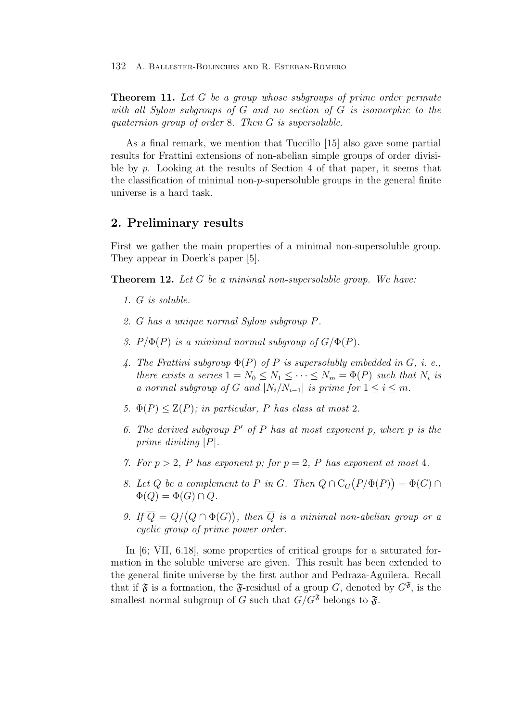**Theorem 11.** Let G be a group whose subgroups of prime order permute with all Sylow subgroups of G and no section of G is isomorphic to the quaternion group of order 8. Then G is supersoluble.

As a final remark, we mention that Tuccillo [15] also gave some partial results for Frattini extensions of non-abelian simple groups of order divisible by p. Looking at the results of Section 4 of that paper, it seems that the classification of minimal non- $p$ -supersoluble groups in the general finite universe is a hard task.

## **2. Preliminary results**

First we gather the main properties of a minimal non-supersoluble group. They appear in Doerk's paper [5].

**Theorem 12.** Let G be a minimal non-supersoluble group. We have:

- 1. G is soluble.
- 2. G has a unique normal Sylow subgroup P.
- 3.  $P/\Phi(P)$  is a minimal normal subgroup of  $G/\Phi(P)$ .
- 4. The Frattini subgroup  $\Phi(P)$  of P is supersolubly embedded in G, i. e., there exists a series  $1 = N_0 \leq N_1 \leq \cdots \leq N_m = \Phi(P)$  such that  $N_i$  is a normal subgroup of G and  $|N_i/N_{i-1}|$  is prime for  $1 \leq i \leq m$ .
- 5.  $\Phi(P) \leq Z(P)$ ; in particular, P has class at most 2.
- 6. The derived subgroup  $P'$  of P has at most exponent p, where p is the prime dividing |P|.
- 7. For  $p > 2$ , P has exponent p; for  $p = 2$ , P has exponent at most 4.
- 8. Let Q be a complement to P in G. Then  $Q \cap C_G(P/\Phi(P)) = \Phi(G) \cap$  $\Phi(Q) = \Phi(G) \cap Q.$
- 9. If  $\overline{Q} = Q/(Q \cap \Phi(G))$ , then  $\overline{Q}$  is a minimal non-abelian group or a cyclic group of prime power order.

In [6; VII, 6.18], some properties of critical groups for a saturated formation in the soluble universe are given. This result has been extended to the general finite universe by the first author and Pedraza-Aguilera. Recall that if  $\mathfrak F$  is a formation, the  $\mathfrak F$ -residual of a group G, denoted by  $G^{\mathfrak F}$ , is the smallest normal subgroup of G such that  $G/G^{\mathfrak{F}}$  belongs to  $\mathfrak{F}$ .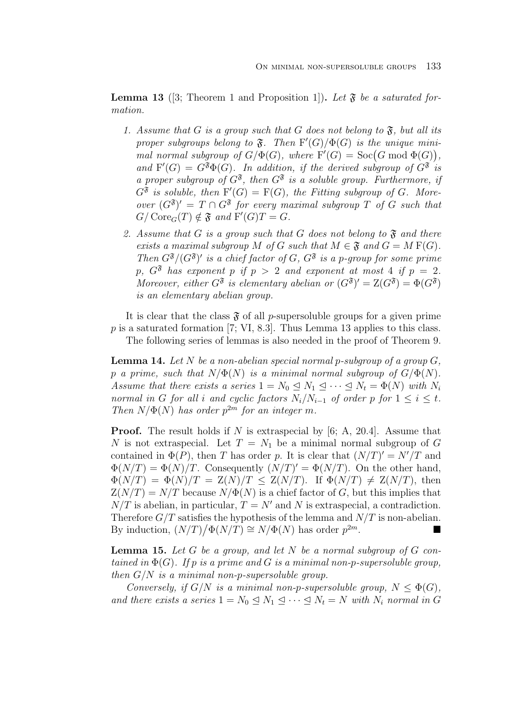**Lemma 13** ([3; Theorem 1 and Proposition 1]). Let  $\mathfrak{F}$  be a saturated formation.

- 1. Assume that G is a group such that G does not belong to  $\mathfrak{F}$ , but all its proper subgroups belong to  $\mathfrak{F}$ . Then  $F'(G)/\Phi(G)$  is the unique minimal normal subgroup of  $G/\Phi(G)$ , where  $F'(G) = \text{Soc}(G \mod \Phi(G)),$ and  $F'(G) = G^{\mathfrak{F}} \Phi(G)$ . In addition, if the derived subgroup of  $G^{\mathfrak{F}}$  is a proper subgroup of  $G^{\mathfrak{F}}$ , then  $G^{\mathfrak{F}}$  is a soluble group. Furthermore, if  $G^{\mathfrak{F}}$  is soluble, then  $F'(G) = F(G)$ , the Fitting subgroup of G. Moreover  $(G^{\mathfrak{F}})' = T \cap G^{\mathfrak{F}}$  for every maximal subgroup T of G such that  $G/\text{Core}_G(T) \notin \mathfrak{F}$  and  $F'(G)T = G$ .
- 2. Assume that G is a group such that G does not belong to  $\mathfrak F$  and there exists a maximal subgroup M of G such that  $M \in \mathfrak{F}$  and  $G = M F(G)$ . Then  $G^{\mathfrak{F}}/(G^{\mathfrak{F}})'$  is a chief factor of G,  $G^{\mathfrak{F}}$  is a p-group for some prime p,  $G^{\mathfrak{F}}$  has exponent p if  $p > 2$  and exponent at most 4 if  $p = 2$ . Moreover, either  $G^{\mathfrak{F}}$  is elementary abelian or  $(G^{\mathfrak{F}})' = Z(G^{\mathfrak{F}}) = \Phi(G^{\mathfrak{F}})$ is an elementary abelian group.

It is clear that the class  $\mathfrak F$  of all p-supersoluble groups for a given prime  $p$  is a saturated formation [7; VI, 8.3]. Thus Lemma 13 applies to this class. The following series of lemmas is also needed in the proof of Theorem 9.

**Lemma 14.** Let  $N$  be a non-abelian special normal p-subgroup of a group  $G$ , p a prime, such that  $N/\Phi(N)$  is a minimal normal subgroup of  $G/\Phi(N)$ . Assume that there exists a series  $1 = N_0 \leq N_1 \leq \cdots \leq N_t = \Phi(N)$  with  $N_i$ normal in G for all i and cyclic factors  $N_i/N_{i-1}$  of order p for  $1 \le i \le t$ . Then  $N/\Phi(N)$  has order  $p^{2m}$  for an integer m.

**Proof.** The result holds if N is extraspecial by [6; A, 20.4]. Assume that N is not extraspecial. Let  $T = N_1$  be a minimal normal subgroup of G contained in  $\Phi(P)$ , then T has order p. It is clear that  $(N/T)' = N'/T$  and  $\Phi(N/T) = \Phi(N)/T$ . Consequently  $(N/T)' = \Phi(N/T)$ . On the other hand,  $\Phi(N/T) = \Phi(N)/T = \mathbb{Z}(N)/T \leq \mathbb{Z}(N/T)$ . If  $\Phi(N/T) \neq \mathbb{Z}(N/T)$ , then  $Z(N/T) = N/T$  because  $N/\Phi(N)$  is a chief factor of G, but this implies that  $N/T$  is abelian, in particular,  $T = N'$  and N is extraspecial, a contradiction. Therefore  $G/T$  satisfies the hypothesis of the lemma and  $N/T$  is non-abelian. By induction,  $(N/T)/\Phi(N/T) \cong N/\Phi(N)$  has order  $p^{2m}$ .

**Lemma 15.** Let  $G$  be a group, and let  $N$  be a normal subgroup of  $G$  contained in  $\Phi(G)$ . If p is a prime and G is a minimal non-p-supersoluble group, then  $G/N$  is a minimal non-p-supersoluble group.

Conversely, if  $G/N$  is a minimal non-p-supersoluble group,  $N \leq \Phi(G)$ , and there exists a series  $1 = N_0 \leq N_1 \leq \cdots \leq N_t = N$  with  $N_i$  normal in G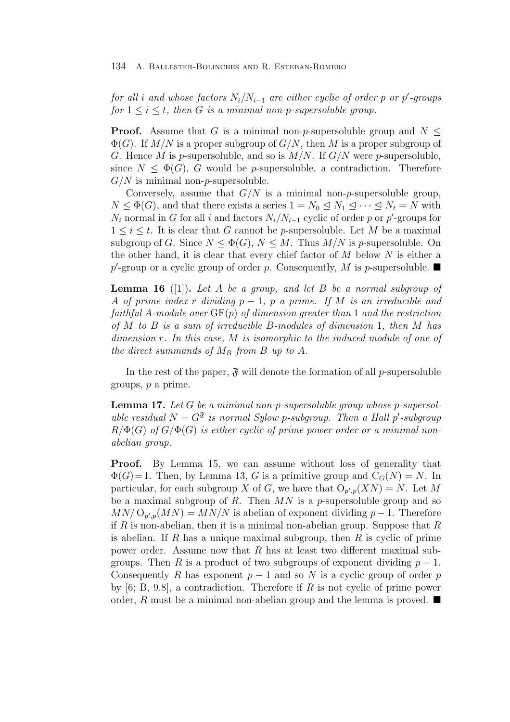for all i and whose factors  $N_i/N_{i-1}$  are either cyclic of order p or p'-groups for  $1 \leq i \leq t$ , then G is a minimal non-p-supersoluble group.

**Proof.** Assume that G is a minimal non-p-supersoluble group and  $N \leq$  $\Phi(G)$ . If  $M/N$  is a proper subgroup of  $G/N$ , then M is a proper subgroup of G. Hence M is p-supersoluble, and so is  $M/N$ . If  $G/N$  were p-supersoluble, since  $N \leq \Phi(G)$ , G would be p-supersoluble, a contradiction. Therefore  $G/N$  is minimal non-*p*-supersoluble.

Conversely, assume that  $G/N$  is a minimal non-p-supersoluble group,  $N \leq \Phi(G)$ , and that there exists a series  $1 = N_0 \leq N_1 \leq \cdots \leq N_t = N$  with  $N_i$  normal in G for all i and factors  $N_i/N_{i-1}$  cyclic of order p or p'-groups for  $1 \leq i \leq t$ . It is clear that G cannot be p-supersoluble. Let M be a maximal subgroup of G. Since  $N \leq \Phi(G)$ ,  $N \leq M$ . Thus  $M/N$  is p-supersoluble. On the other hand, it is clear that every chief factor of  $M$  below  $N$  is either a  $p'$ -group or a cyclic group of order p. Consequently, M is p-supersoluble.

**Lemma 16** ([1])**.** Let A be a group, and let B be a normal subgroup of A of prime index r dividing  $p-1$ , p a prime. If M is an irreducible and faithful A-module over  $GF(p)$  of dimension greater than 1 and the restriction of  $M$  to  $B$  is a sum of irreducible  $B$ -modules of dimension 1, then  $M$  has dimension r. In this case, M is isomorphic to the induced module of one of the direct summands of  $M_B$  from B up to A.

In the rest of the paper,  $\mathfrak{F}$  will denote the formation of all p-supersoluble groups, p a prime.

**Lemma 17.** Let G be a minimal non-p-supersoluble group whose p-supersoluble residual  $N = G^{\mathfrak{F}}$  is normal Sylow p-subgroup. Then a Hall p'-subgroup  $R/\Phi(G)$  of  $G/\Phi(G)$  is either cyclic of prime power order or a minimal nonabelian group.

**Proof.** By Lemma 15, we can assume without loss of generality that  $\Phi(G)=1$ . Then, by Lemma 13, G is a primitive group and  $C_G(N) = N$ . In particular, for each subgroup X of G, we have that  $O_{p',p}(XN) = N$ . Let M be a maximal subgroup of  $R$ . Then  $MN$  is a p-supersoluble group and so  $MN/\Omega_{p',p}(MN) = MN/N$  is abelian of exponent dividing  $p-1$ . Therefore if R is non-abelian, then it is a minimal non-abelian group. Suppose that  $R$ is abelian. If R has a unique maximal subgroup, then R is cyclic of prime power order. Assume now that  $R$  has at least two different maximal subgroups. Then R is a product of two subgroups of exponent dividing  $p-1$ . Consequently R has exponent  $p-1$  and so N is a cyclic group of order p by  $[6; B, 9.8]$ , a contradiction. Therefore if R is not cyclic of prime power order, R must be a minimal non-abelian group and the lemma is proved.  $\blacksquare$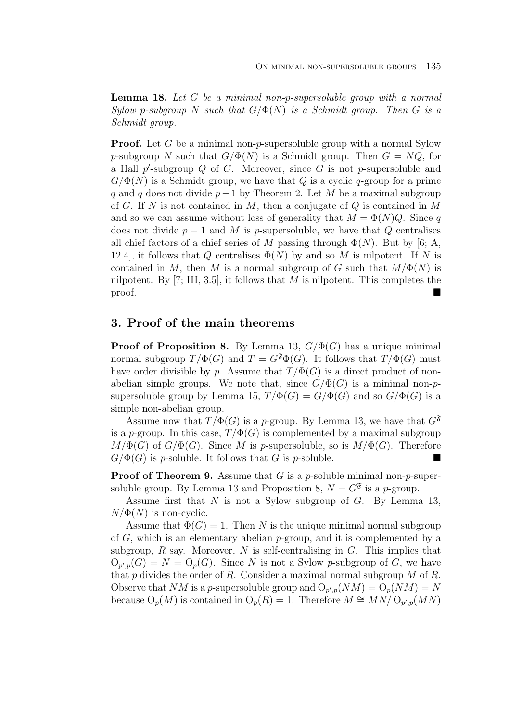**Lemma 18.** Let G be a minimal non-p-supersoluble group with a normal Sylow p-subgroup N such that  $G/\Phi(N)$  is a Schmidt group. Then G is a Schmidt group.

**Proof.** Let G be a minimal non-p-supersoluble group with a normal Sylow p-subgroup N such that  $G/\Phi(N)$  is a Schmidt group. Then  $G = NQ$ , for a Hall  $p'$ -subgroup  $Q$  of  $G$ . Moreover, since  $G$  is not p-supersoluble and  $G/\Phi(N)$  is a Schmidt group, we have that Q is a cyclic q-group for a prime q and q does not divide  $p-1$  by Theorem 2. Let M be a maximal subgroup of G. If N is not contained in M, then a conjugate of  $Q$  is contained in M and so we can assume without loss of generality that  $M = \Phi(N)Q$ . Since q does not divide  $p-1$  and M is p-supersoluble, we have that Q centralises all chief factors of a chief series of M passing through  $\Phi(N)$ . But by [6; A, 12.4], it follows that Q centralises  $\Phi(N)$  by and so M is nilpotent. If N is contained in M, then M is a normal subgroup of G such that  $M/\Phi(N)$  is nilpotent. By [7; III, 3.5], it follows that  $M$  is nilpotent. This completes the proof.

# **3. Proof of the main theorems**

**Proof of Proposition 8.** By Lemma 13,  $G/\Phi(G)$  has a unique minimal normal subgroup  $T/\Phi(G)$  and  $T = G^{\mathfrak{F}}\Phi(G)$ . It follows that  $T/\Phi(G)$  must have order divisible by p. Assume that  $T/\Phi(G)$  is a direct product of nonabelian simple groups. We note that, since  $G/\Phi(G)$  is a minimal non-psupersoluble group by Lemma 15,  $T/\Phi(G) = G/\Phi(G)$  and so  $G/\Phi(G)$  is a simple non-abelian group.

Assume now that  $T/\Phi(G)$  is a p-group. By Lemma 13, we have that  $G^{\mathfrak{F}}$ is a p-group. In this case,  $T/\Phi(G)$  is complemented by a maximal subgroup  $M/\Phi(G)$  of  $G/\Phi(G)$ . Since M is p-supersoluble, so is  $M/\Phi(G)$ . Therefore  $G/\Phi(G)$  is p-soluble. It follows that G is p-soluble.

**Proof of Theorem 9.** Assume that G is a p-soluble minimal non-p-supersoluble group. By Lemma 13 and Proposition 8,  $N = G^{\mathfrak{F}}$  is a p-group.

Assume first that  $N$  is not a Sylow subgroup of  $G$ . By Lemma 13,  $N/\Phi(N)$  is non-cyclic.

Assume that  $\Phi(G) = 1$ . Then N is the unique minimal normal subgroup of  $G$ , which is an elementary abelian  $p$ -group, and it is complemented by a subgroup,  $R$  say. Moreover,  $N$  is self-centralising in  $G$ . This implies that  $O_{p',p}(G) = N = O_p(G)$ . Since N is not a Sylow p-subgroup of G, we have that p divides the order of R. Consider a maximal normal subgroup  $M$  of R. Observe that NM is a p-supersoluble group and  $O_{p',p}(NM) = O_p(NM) = N$ because  $O_p(M)$  is contained in  $O_p(R) = 1$ . Therefore  $M \cong M_N/O_{p',p}(MN)$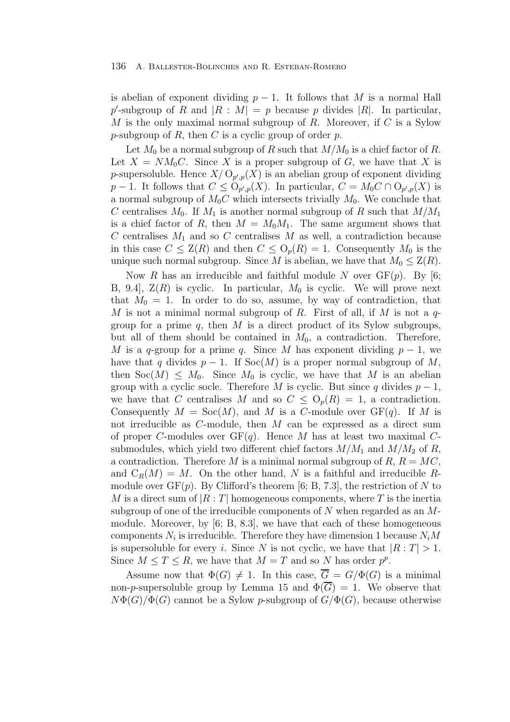is abelian of exponent dividing  $p-1$ . It follows that M is a normal Hall p'-subgroup of R and  $|R : M| = p$  because p divides |R|. In particular, M is the only maximal normal subgroup of R. Moreover, if  $C$  is a Sylow p-subgroup of  $R$ , then  $C$  is a cyclic group of order  $p$ .

Let  $M_0$  be a normal subgroup of R such that  $M/M_0$  is a chief factor of R. Let  $X = NM_0C$ . Since X is a proper subgroup of G, we have that X is p-supersoluble. Hence  $X/\mathcal{O}_{p',p}(X)$  is an abelian group of exponent dividing  $p-1$ . It follows that  $C \leq O_{p',p}(X)$ . In particular,  $C = M_0C \cap O_{p',p}(X)$  is a normal subgroup of  $M_0C$  which intersects trivially  $M_0$ . We conclude that C centralises  $M_0$ . If  $M_1$  is another normal subgroup of R such that  $M/M_1$ is a chief factor of R, then  $M = M_0M_1$ . The same argument shows that C centralises  $M_1$  and so C centralises M as well, a contradiction because in this case  $C \leq Z(R)$  and then  $C \leq O_p(R) = 1$ . Consequently  $M_0$  is the unique such normal subgroup. Since M is abelian, we have that  $M_0 \leq Z(R)$ .

Now R has an irreducible and faithful module N over  $GF(p)$ . By [6; B, 9.4,  $Z(R)$  is cyclic. In particular,  $M_0$  is cyclic. We will prove next that  $M_0 = 1$ . In order to do so, assume, by way of contradiction, that M is not a minimal normal subgroup of R. First of all, if M is not a  $q$ group for a prime  $q$ , then M is a direct product of its Sylow subgroups, but all of them should be contained in  $M_0$ , a contradiction. Therefore, M is a q-group for a prime q. Since M has exponent dividing  $p-1$ , we have that q divides  $p - 1$ . If Soc(M) is a proper normal subgroup of M, then  $Soc(M) \leq M_0$ . Since  $M_0$  is cyclic, we have that M is an abelian group with a cyclic socle. Therefore M is cyclic. But since q divides  $p-1$ , we have that C centralises M and so  $C \leq O_n(R) = 1$ , a contradiction. Consequently  $M = \text{Soc}(M)$ , and M is a C-module over  $GF(q)$ . If M is not irreducible as  $C$ -module, then  $M$  can be expressed as a direct sum of proper C-modules over  $GF(q)$ . Hence M has at least two maximal Csubmodules, which yield two different chief factors  $M/M_1$  and  $M/M_2$  of R, a contradiction. Therefore M is a minimal normal subgroup of  $R, R = MC$ , and  $C_R(M) = M$ . On the other hand, N is a faithful and irreducible Rmodule over  $GF(p)$ . By Clifford's theorem [6; B, 7.3], the restriction of N to M is a direct sum of  $|R:T|$  homogeneous components, where T is the inertia subgroup of one of the irreducible components of  $N$  when regarded as an  $M$ module. Moreover, by  $[6; B, 8.3]$ , we have that each of these homogeneous components  $N_i$  is irreducible. Therefore they have dimension 1 because  $N_iM$ is supersoluble for every i. Since N is not cyclic, we have that  $|R: T| > 1$ . Since  $M \leq T \leq R$ , we have that  $M = T$  and so N has order  $p^p$ .

Assume now that  $\Phi(G) \neq 1$ . In this case,  $\overline{G} = G/\Phi(G)$  is a minimal non-p-supersoluble group by Lemma 15 and  $\Phi(\overline{G}) = 1$ . We observe that  $N\Phi(G)/\Phi(G)$  cannot be a Sylow p-subgroup of  $G/\Phi(G)$ , because otherwise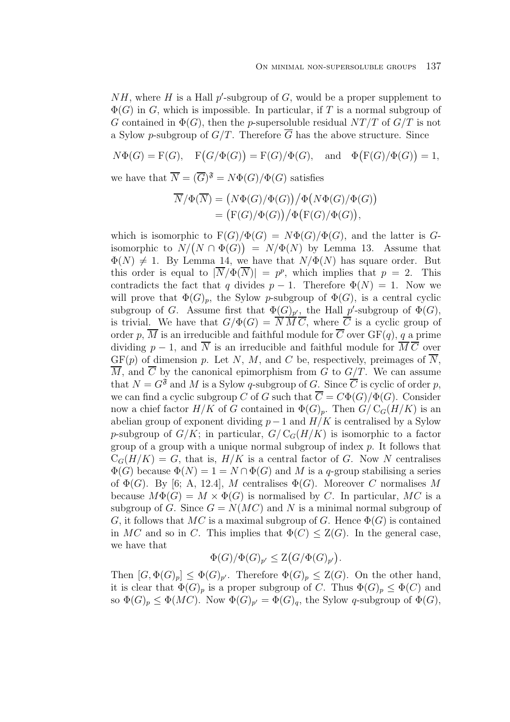$NH$ , where H is a Hall p'-subgroup of G, would be a proper supplement to  $\Phi(G)$  in G, which is impossible. In particular, if T is a normal subgroup of G contained in  $\Phi(G)$ , then the p-supersoluble residual  $NT/T$  of  $G/T$  is not a Sylow p-subgroup of  $G/T$ . Therefore  $\overline{G}$  has the above structure. Since

$$
N\Phi(G) = F(G), \quad F(G/\Phi(G)) = F(G)/\Phi(G), \quad \text{and} \quad \Phi(F(G)/\Phi(G)) = 1,
$$

we have that  $\overline{N} = (\overline{G})^{\mathfrak{F}} = N\Phi(G)/\Phi(G)$  satisfies

$$
\overline{N}/\Phi(\overline{N}) = (N\Phi(G)/\Phi(G)) / \Phi(N\Phi(G)/\Phi(G))
$$
  
=  $(F(G)/\Phi(G)) / \Phi(F(G)/\Phi(G)),$ 

which is isomorphic to  $F(G)/\Phi(G) = N\Phi(G)/\Phi(G)$ , and the latter is Gisomorphic to  $N/(N \cap \Phi(G)) = N/\Phi(N)$  by Lemma 13. Assume that  $\Phi(N) \neq 1$ . By Lemma 14, we have that  $N/\Phi(N)$  has square order. But this order is equal to  $|\overline{N}/\Phi(\overline{N})| = p^p$ , which implies that  $p = 2$ . This contradicts the fact that q divides  $p-1$ . Therefore  $\Phi(N) = 1$ . Now we will prove that  $\Phi(G)_p$ , the Sylow p-subgroup of  $\Phi(G)$ , is a central cyclic subgroup of G. Assume first that  $\Phi(G)_{p'}$ , the Hall p'-subgroup of  $\Phi(G)$ , is trivial. We have that  $G/\Phi(G) = \overline{N} \overline{M} \overline{C}$ , where  $\overline{C}$  is a cyclic group of order p,  $\overline{M}$  is an irreducible and faithful module for  $\overline{C}$  over  $GF(q)$ , q a prime dividing  $p-1$ , and  $\overline{N}$  is an irreducible and faithful module for  $\overline{M}\overline{C}$  over  $GF(p)$  of dimension p. Let N, M, and C be, respectively, preimages of  $\overline{N}$ ,  $\overline{M}$ , and  $\overline{C}$  by the canonical epimorphism from G to  $G/T$ . We can assume that  $N = G^{\mathfrak{F}}$  and M is a Sylow q-subgroup of G. Since  $\overline{C}$  is cyclic of order p, we can find a cyclic subgroup C of G such that  $\overline{C} = C\Phi(G)/\Phi(G)$ . Consider now a chief factor  $H/K$  of G contained in  $\Phi(G)_p$ . Then  $G/C_G(H/K)$  is an abelian group of exponent dividing  $p-1$  and  $H/K$  is centralised by a Sylow p-subgroup of  $G/K$ ; in particular,  $G/C_G(H/K)$  is isomorphic to a factor group of a group with a unique normal subgroup of index  $p$ . It follows that  $C_G(H/K) = G$ , that is,  $H/K$  is a central factor of G. Now N centralises  $\Phi(G)$  because  $\Phi(N)=1=N \cap \Phi(G)$  and M is a q-group stabilising a series of  $\Phi(G)$ . By [6; A, 12.4], M centralises  $\Phi(G)$ . Moreover C normalises M because  $M\Phi(G) = M \times \Phi(G)$  is normalised by C. In particular, MC is a subgroup of G. Since  $G = N(MC)$  and N is a minimal normal subgroup of G, it follows that MC is a maximal subgroup of G. Hence  $\Phi(G)$  is contained in MC and so in C. This implies that  $\Phi(C) \leq Z(G)$ . In the general case, we have that

$$
\Phi(G)/\Phi(G)_{p'} \leq \mathcal{Z}(G/\Phi(G)_{p'}).
$$

Then  $[G, \Phi(G)_p] \leq \Phi(G)_{p'}$ . Therefore  $\Phi(G)_p \leq Z(G)$ . On the other hand, it is clear that  $\Phi(G)_p$  is a proper subgroup of C. Thus  $\Phi(G)_p \leq \Phi(C)$  and so  $\Phi(G)_p \leq \Phi(MC)$ . Now  $\Phi(G)_{p'} = \Phi(G)_q$ , the Sylow q-subgroup of  $\Phi(G)$ ,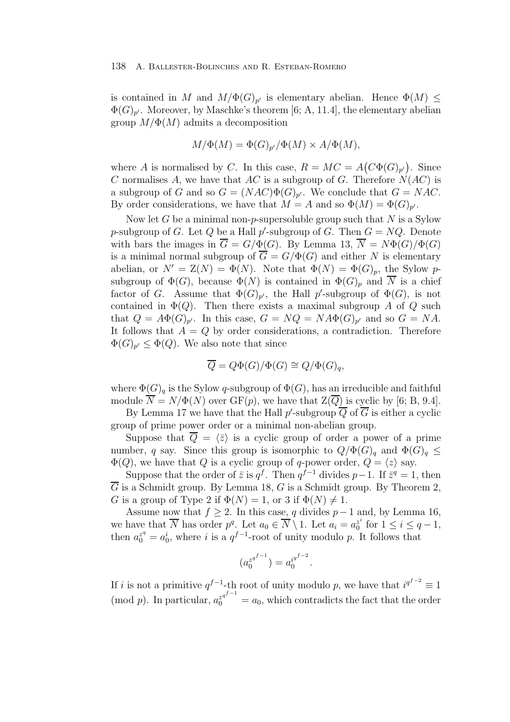is contained in M and  $M/\Phi(G)_{p'}$  is elementary abelian. Hence  $\Phi(M) \leq$  $\Phi(G)_{p'}$ . Moreover, by Maschke's theorem [6; A, 11.4], the elementary abelian group  $M/\Phi(M)$  admits a decomposition

$$
M/\Phi(M) = \Phi(G)_{p'}/\Phi(M) \times A/\Phi(M),
$$

where A is normalised by C. In this case,  $R = MC = A(C\Phi(G)_{p'})$ . Since C normalises A, we have that  $AC$  is a subgroup of G. Therefore  $N(AC)$  is a subgroup of G and so  $G = (NAC)\Phi(G)_{p'}$ . We conclude that  $G = NAC$ . By order considerations, we have that  $M = A$  and so  $\Phi(M) = \Phi(G)_{n'}$ .

Now let G be a minimal non-p-supersoluble group such that  $N$  is a Sylow p-subgroup of G. Let Q be a Hall p'-subgroup of G. Then  $G = NQ$ . Denote with bars the images in  $\overline{G} = G/\Phi(G)$ . By Lemma 13,  $\overline{N} = N\Phi(G)/\Phi(G)$ is a minimal normal subgroup of  $\overline{G} = G/\Phi(G)$  and either N is elementary abelian, or  $N' = Z(N) = \Phi(N)$ . Note that  $\Phi(N) = \Phi(G)_p$ , the Sylow psubgroup of  $\Phi(G)$ , because  $\Phi(N)$  is contained in  $\Phi(G)_p$  and  $\overline{N}$  is a chief factor of G. Assume that  $\Phi(G)_{p'}$ , the Hall p'-subgroup of  $\Phi(G)$ , is not contained in  $\Phi(Q)$ . Then there exists a maximal subgroup A of Q such that  $Q = A\Phi(G)_{p'}$ . In this case,  $G = NQ = N A\Phi(G)_{p'}$  and so  $G = NA$ . It follows that  $A = Q$  by order considerations, a contradiction. Therefore  $\Phi(G)_{p'} \leq \Phi(Q)$ . We also note that since

$$
\overline{Q} = Q\Phi(G)/\Phi(G) \cong Q/\Phi(G)_q,
$$

where  $\Phi(G)$ <sub>a</sub> is the Sylow q-subgroup of  $\Phi(G)$ , has an irreducible and faithful module  $\overline{N} = N/\Phi(N)$  over  $GF(p)$ , we have that  $\overline{Z(\overline{Q})}$  is cyclic by [6; B, 9.4].

By Lemma 17 we have that the Hall  $p'$ -subgroup  $Q$  of  $G$  is either a cyclic group of prime power order or a minimal non-abelian group.

Suppose that  $Q = \langle \bar{z} \rangle$  is a cyclic group of order a power of a prime number, q say. Since this group is isomorphic to  $Q/\Phi(G)_q$  and  $\Phi(G)_q \leq$  $\Phi(Q)$ , we have that Q is a cyclic group of q-power order,  $Q = \langle z \rangle$  say.

Suppose that the order of  $\bar{z}$  is  $q^f$ . Then  $q^{f-1}$  divides  $p-1$ . If  $\bar{z}^q = 1$ , then  $\overline{G}$  is a Schmidt group. By Lemma 18, G is a Schmidt group. By Theorem 2, G is a group of Type 2 if  $\Phi(N) = 1$ , or 3 if  $\Phi(N) \neq 1$ .

Assume now that  $f \geq 2$ . In this case, q divides  $p-1$  and, by Lemma 16, we have that  $\overline{N}$  has order  $p^q$ . Let  $a_0 \in \overline{N} \setminus 1$ . Let  $a_i = a_0^{z^i}$  for  $1 \le i \le q-1$ , then  $a_0^{z^q} = a_0^i$ , where i is a  $q^{f-1}$ -root of unity modulo p. It follows that

$$
(a_0^{z^{q^{f-1}}}) = a_0^{i^{q^{f-2}}}.
$$

If *i* is not a primitive  $q^{f-1}$ -th root of unity modulo p, we have that  $i^{q^{f-2}} \equiv 1$ (mod p). In particular,  $a_0^{z^{q^{f-1}}} = a_0$ , which contradicts the fact that the order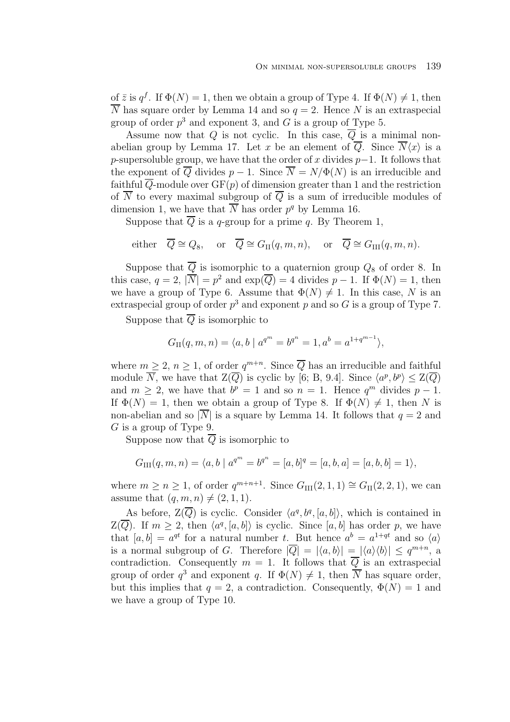of  $\bar{z}$  is  $q^f$ . If  $\Phi(N) = 1$ , then we obtain a group of Type 4. If  $\Phi(N) \neq 1$ , then  $\overline{N}$  has square order by Lemma 14 and so  $q = 2$ . Hence N is an extraspecial group of order  $p^3$  and exponent 3, and G is a group of Type 5.

Assume now that Q is not cyclic. In this case,  $\overline{Q}$  is a minimal nonabelian group by Lemma 17. Let x be an element of Q. Since  $N\langle x \rangle$  is a p-supersoluble group, we have that the order of x divides  $p-1$ . It follows that the exponent of  $\overline{Q}$  divides  $p-1$ . Since  $\overline{N} = N/\Phi(N)$  is an irreducible and faithful  $\overline{Q}$ -module over  $GF(p)$  of dimension greater than 1 and the restriction of  $\overline{N}$  to every maximal subgroup of  $\overline{Q}$  is a sum of irreducible modules of dimension 1, we have that  $\overline{N}$  has order  $p^q$  by Lemma 16.

Suppose that  $\overline{Q}$  is a q-group for a prime q. By Theorem 1,

either 
$$
\overline{Q} \cong Q_8
$$
, or  $\overline{Q} \cong G_{\text{II}}(q, m, n)$ , or  $\overline{Q} \cong G_{\text{III}}(q, m, n)$ .

Suppose that  $\overline{Q}$  is isomorphic to a quaternion group  $Q_8$  of order 8. In this case,  $q = 2$ ,  $|\overline{N}| = p^2$  and  $\exp(\overline{Q}) = 4$  divides  $p - 1$ . If  $\Phi(N) = 1$ , then we have a group of Type 6. Assume that  $\Phi(N) \neq 1$ . In this case, N is an extraspecial group of order  $p^3$  and exponent p and so G is a group of Type 7.

Suppose that  $\overline{Q}$  is isomorphic to

$$
G_{\text{II}}(q,m,n) = \langle a, b \mid a^{q^m} = b^{q^n} = 1, a^b = a^{1+q^{m-1}} \rangle,
$$

where  $m \geq 2$ ,  $n \geq 1$ , of order  $q^{m+n}$ . Since  $\overline{Q}$  has an irreducible and faithful module  $\overline{N}$ , we have that  $\mathcal{Z}(\overline{Q})$  is cyclic by [6; B, 9.4]. Since  $\langle a^p, b^p \rangle \leq \mathcal{Z}(\overline{Q})$ and  $m > 2$ , we have that  $b^p = 1$  and so  $n = 1$ . Hence  $q^m$  divides  $p - 1$ . If  $\Phi(N) = 1$ , then we obtain a group of Type 8. If  $\Phi(N) \neq 1$ , then N is non-abelian and so  $|\overline{N}|$  is a square by Lemma 14. It follows that  $q = 2$  and G is a group of Type 9.

Suppose now that  $\overline{Q}$  is isomorphic to

$$
G_{\text{III}}(q,m,n) = \langle a, b \mid a^{q^m} = b^{q^n} = [a, b]^q = [a, b, a] = [a, b, b] = 1 \rangle,
$$

where  $m \ge n \ge 1$ , of order  $q^{m+n+1}$ . Since  $G_{III}(2,1,1) \cong G_{II}(2,2,1)$ , we can assume that  $(q, m, n) \neq (2, 1, 1)$ .

As before,  $\mathbb{Z}(\overline{Q})$  is cyclic. Consider  $\langle a^q, b^q, [a, b] \rangle$ , which is contained in  $Z(\overline{Q})$ . If  $m \geq 2$ , then  $\langle a^q, [a, b] \rangle$  is cyclic. Since  $[a, b]$  has order p, we have that  $[a, b] = a^{qt}$  for a natural number t. But hence  $a^b = a^{1+qt}$  and so  $\langle a \rangle$ is a normal subgroup of G. Therefore  $|\overline{Q}| = |\langle a, b \rangle| = |\langle a \rangle \langle b \rangle| \leq q^{m+n}$ , a contradiction. Consequently  $m = 1$ . It follows that  $\overline{Q}$  is an extraspecial group of order  $q^3$  and exponent q. If  $\Phi(N) \neq 1$ , then  $\overline{N}$  has square order, but this implies that  $q = 2$ , a contradiction. Consequently,  $\Phi(N) = 1$  and we have a group of Type 10.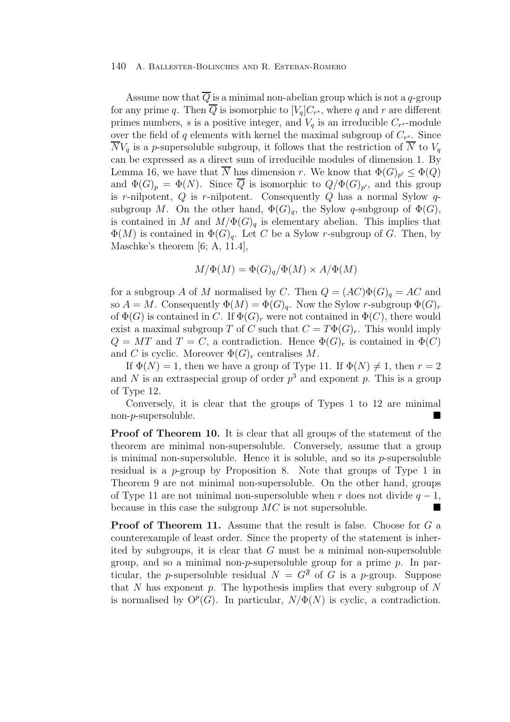Assume now that  $\overline{Q}$  is a minimal non-abelian group which is not a q-group for any prime q. Then  $\overline{Q}$  is isomorphic to  $[V_q]C_{r^s}$ , where q and r are different primes numbers, s is a positive integer, and  $V_q$  is an irreducible  $C_{r^s}$ -module over the field of q elements with kernel the maximal subgroup of  $C_{r^s}$ . Since  $\overline{N}V_q$  is a p-supersoluble subgroup, it follows that the restriction of  $\overline{N}$  to  $V_q$ can be expressed as a direct sum of irreducible modules of dimension 1. By Lemma 16, we have that N has dimension r. We know that  $\Phi(G)_{p'} \leq \Phi(Q)$ and  $\Phi(G)_p = \Phi(N)$ . Since  $\overline{Q}$  is isomorphic to  $Q/\Phi(G)_{p'}$ , and this group is r-nilpotent,  $Q$  is r-nilpotent. Consequently  $Q$  has a normal Sylow  $q$ subgroup M. On the other hand,  $\Phi(G)_{q}$ , the Sylow q-subgroup of  $\Phi(G)$ , is contained in M and  $M/\Phi(G)_{q}$  is elementary abelian. This implies that  $\Phi(M)$  is contained in  $\Phi(G)_{q}$ . Let C be a Sylow r-subgroup of G. Then, by Maschke's theorem [6; A, 11.4],

$$
M/\Phi(M) = \Phi(G)_q/\Phi(M) \times A/\Phi(M)
$$

for a subgroup A of M normalised by C. Then  $Q = (AC)\Phi(G)_q = AC$  and so  $A = M$ . Consequently  $\Phi(M) = \Phi(G)_{a}$ . Now the Sylow r-subgroup  $\Phi(G)_{r}$ of  $\Phi(G)$  is contained in C. If  $\Phi(G)_r$  were not contained in  $\Phi(C)$ , there would exist a maximal subgroup T of C such that  $C = T\Phi(G)_r$ . This would imply  $Q = MT$  and  $T = C$ , a contradiction. Hence  $\Phi(G)_r$  is contained in  $\Phi(C)$ and C is cyclic. Moreover  $\Phi(G)_r$  centralises M.

If  $\Phi(N) = 1$ , then we have a group of Type 11. If  $\Phi(N) \neq 1$ , then  $r = 2$ and N is an extraspecial group of order  $p<sup>3</sup>$  and exponent p. This is a group of Type 12.

Conversely, it is clear that the groups of Types 1 to 12 are minimal  $non-p$ -supersoluble.

**Proof of Theorem 10.** It is clear that all groups of the statement of the theorem are minimal non-supersoluble. Conversely, assume that a group is minimal non-supersoluble. Hence it is soluble, and so its  $p$ -supersoluble residual is a  $p$ -group by Proposition 8. Note that groups of Type 1 in Theorem 9 are not minimal non-supersoluble. On the other hand, groups of Type 11 are not minimal non-supersoluble when r does not divide  $q-1$ , because in this case the subgroup  $MC$  is not supersoluble.

**Proof of Theorem 11.** Assume that the result is false. Choose for G a counterexample of least order. Since the property of the statement is inherited by subgroups, it is clear that  $G$  must be a minimal non-supersoluble group, and so a minimal non- $p$ -supersoluble group for a prime  $p$ . In particular, the p-supersoluble residual  $N = G^{\mathfrak{F}}$  of G is a p-group. Suppose that  $N$  has exponent  $p$ . The hypothesis implies that every subgroup of  $N$ is normalised by  $O^p(G)$ . In particular,  $N/\Phi(N)$  is cyclic, a contradiction.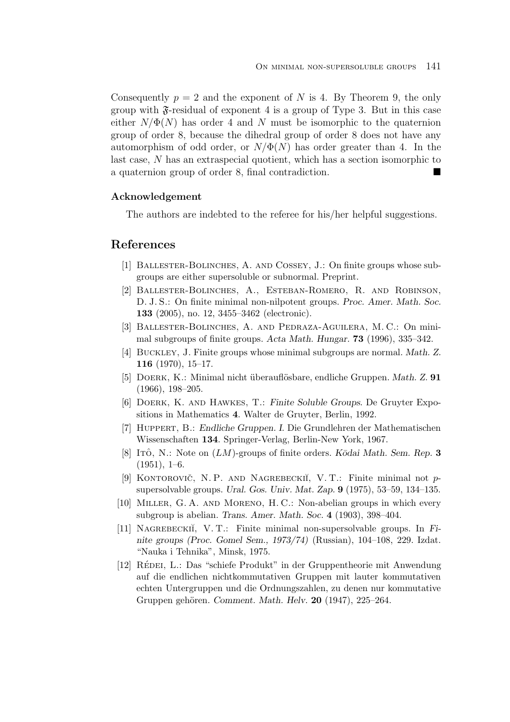Consequently  $p = 2$  and the exponent of N is 4. By Theorem 9, the only group with  $\mathfrak{F}\text{-}\mathrm{residual}$  of exponent 4 is a group of Type 3. But in this case either  $N/\Phi(N)$  has order 4 and N must be isomorphic to the quaternion group of order 8, because the dihedral group of order 8 does not have any automorphism of odd order, or  $N/\Phi(N)$  has order greater than 4. In the last case, N has an extraspecial quotient, which has a section isomorphic to a quaternion group of order 8, final contradiction.  $\blacksquare$ 

### **Acknowledgement**

The authors are indebted to the referee for his/her helpful suggestions.

# **References**

- [1] Ballester-Bolinches, A. and Cossey, J.: On finite groups whose subgroups are either supersoluble or subnormal. Preprint.
- [2] Ballester-Bolinches, A., Esteban-Romero, R. and Robinson, D. J. S.: On finite minimal non-nilpotent groups. *Proc. Amer. Math. Soc.* **133** (2005), no. 12, 3455–3462 (electronic).
- [3] Ballester-Bolinches, A. and Pedraza-Aguilera, M. C.: On minimal subgroups of finite groups. *Acta Math. Hungar.* **73** (1996), 335–342.
- [4] Buckley, J. Finite groups whose minimal subgroups are normal. *Math. Z.* **116** (1970), 15–17.
- [5] Doerk, K.: Minimal nicht ¨uberaufl¨osbare, endliche Gruppen. *Math. Z.* **91** (1966), 198–205.
- [6] Doerk, K. and Hawkes, T.: *Finite Soluble Groups*. De Gruyter Expositions in Mathematics **4**. Walter de Gruyter, Berlin, 1992.
- [7] Huppert, B.: *Endliche Gruppen. I*. Die Grundlehren der Mathematischen Wissenschaften **134**. Springer-Verlag, Berlin-New York, 1967.
- [8] Ito, N.: Note on  $(LM)$ -groups of finite orders. *K*odai Math. Sem. Rep. 3 (1951), 1–6.
- [9] KONTOROVIČ, N. P. AND NAGREBECKII, V. T.: Finite minimal not psupersolvable groups. *Ural. Gos. Univ. Mat. Zap.* **9** (1975), 53–59, 134–135.
- [10] Miller, G. A. and Moreno, H. C.: Non-abelian groups in which every subgroup is abelian. *Trans. Amer. Math. Soc.* **4** (1903), 398–404.
- [11] Nagrebecki˘ı, V. T.: Finite minimal non-supersolvable groups. In *Finite groups (Proc. Gomel Sem., 1973/74)* (Russian), 104–108, 229. Izdat. "Nauka i Tehnika", Minsk, 1975.
- [12] RÉDEI, L.: Das "schiefe Produkt" in der Gruppentheorie mit Anwendung auf die endlichen nichtkommutativen Gruppen mit lauter kommutativen echten Untergruppen und die Ordnungszahlen, zu denen nur kommutative Gruppen gehören. *Comment. Math. Helv.* **20** (1947), 225–264.